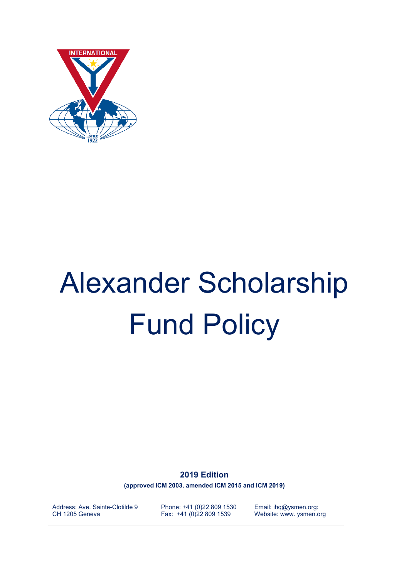

# Alexander Scholarship Fund Policy

**2019 Edition**

**(approved ICM 2003, amended ICM 2015 and ICM 2019)**

Address: Ave. Sainte-Clotilde 9 CH 1205 Geneva

Phone: +41 (0)22 809 1530 Fax: +41 (0)22 809 1539

Email: ihq@ysmen.org: Website: www. ysmen.org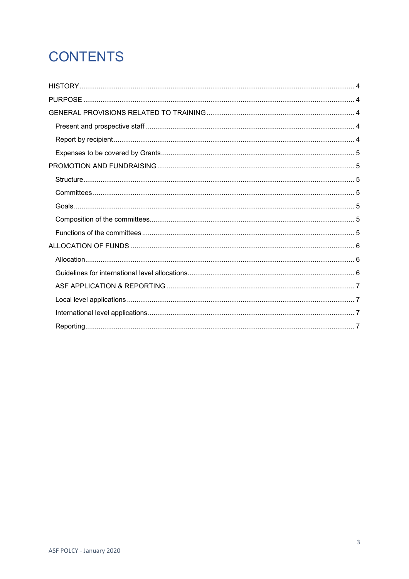## **CONTENTS**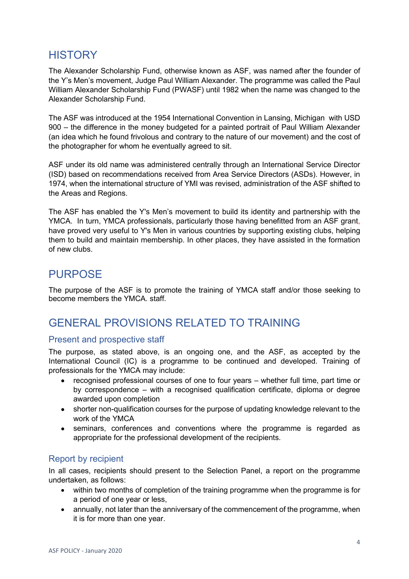## <span id="page-3-0"></span>**HISTORY**

The Alexander Scholarship Fund, otherwise known as ASF, was named after the founder of the Y's Men's movement, Judge Paul William Alexander. The programme was called the Paul William Alexander Scholarship Fund (PWASF) until 1982 when the name was changed to the Alexander Scholarship Fund.

The ASF was introduced at the 1954 International Convention in Lansing, Michigan with USD 900 – the difference in the money budgeted for a painted portrait of Paul William Alexander (an idea which he found frivolous and contrary to the nature of our movement) and the cost of the photographer for whom he eventually agreed to sit.

ASF under its old name was administered centrally through an International Service Director (ISD) based on recommendations received from Area Service Directors (ASDs). However, in 1974, when the international structure of YMI was revised, administration of the ASF shifted to the Areas and Regions.

The ASF has enabled the Y's Men's movement to build its identity and partnership with the YMCA. In turn, YMCA professionals, particularly those having benefitted from an ASF grant, have proved very useful to Y's Men in various countries by supporting existing clubs, helping them to build and maintain membership. In other places, they have assisted in the formation of new clubs.

## <span id="page-3-1"></span>PURPOSE

The purpose of the ASF is to promote the training of YMCA staff and/or those seeking to become members the YMCA. staff.

## <span id="page-3-2"></span>GENERAL PROVISIONS RELATED TO TRAINING

#### <span id="page-3-3"></span>Present and prospective staff

The purpose, as stated above, is an ongoing one, and the ASF, as accepted by the International Council (IC) is a programme to be continued and developed. Training of professionals for the YMCA may include:

- recognised professional courses of one to four years whether full time, part time or by correspondence – with a recognised qualification certificate, diploma or degree awarded upon completion
- shorter non-qualification courses for the purpose of updating knowledge relevant to the work of the YMCA
- seminars, conferences and conventions where the programme is regarded as appropriate for the professional development of the recipients.

#### <span id="page-3-4"></span>Report by recipient

In all cases, recipients should present to the Selection Panel, a report on the programme undertaken, as follows:

- within two months of completion of the training programme when the programme is for a period of one year or less,
- annually, not later than the anniversary of the commencement of the programme, when it is for more than one year.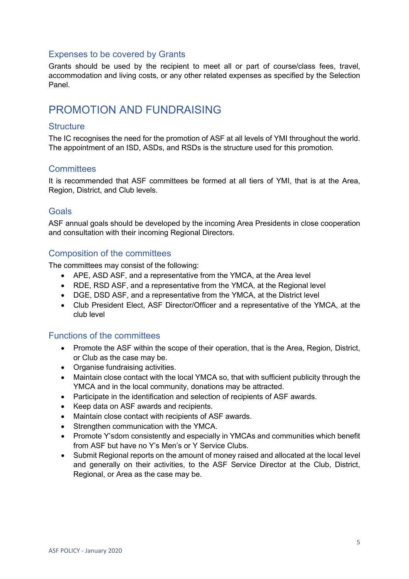#### <span id="page-4-0"></span>Expenses to be covered by Grants

Grants should be used by the recipient to meet all or part of course/class fees, travel, accommodation and living costs, or any other related expenses as specified by the Selection Panel.

### <span id="page-4-1"></span>PROMOTION AND FUNDRAISING

#### <span id="page-4-2"></span>**Structure**

The IC recognises the need for the promotion of ASF at all levels of YMI throughout the world. The appointment of an ISD, ASDs, and RSDs is the structure used for this promotion.

#### <span id="page-4-3"></span>**Committees**

It is recommended that ASF committees be formed at all tiers of YMI, that is at the Area, Region, District, and Club levels.

#### <span id="page-4-4"></span>**Goals**

ASF annual goals should be developed by the incoming Area Presidents in close cooperation and consultation with their incoming Regional Directors.

#### <span id="page-4-5"></span>Composition of the committees

The committees may consist of the following:

- APE, ASD ASF, and a representative from the YMCA, at the Area level
- RDE, RSD ASF, and a representative from the YMCA, at the Regional level
- DGE, DSD ASF, and a representative from the YMCA, at the District level
- Club President Elect, ASF Director/Officer and a representative of the YMCA, at the club level

#### <span id="page-4-6"></span>Functions of the committees

- Promote the ASF within the scope of their operation, that is the Area, Region, District, or Club as the case may be.
- Organise fundraising activities.
- Maintain close contact with the local YMCA so, that with sufficient publicity through the YMCA and in the local community, donations may be attracted.
- Participate in the identification and selection of recipients of ASF awards.
- Keep data on ASF awards and recipients.
- Maintain close contact with recipients of ASF awards.
- Strengthen communication with the YMCA.
- Promote Y'sdom consistently and especially in YMCAs and communities which benefit from ASF but have no Y's Men's or Y Service Clubs.
- Submit Regional reports on the amount of money raised and allocated at the local level and generally on their activities, to the ASF Service Director at the Club, District, Regional, or Area as the case may be.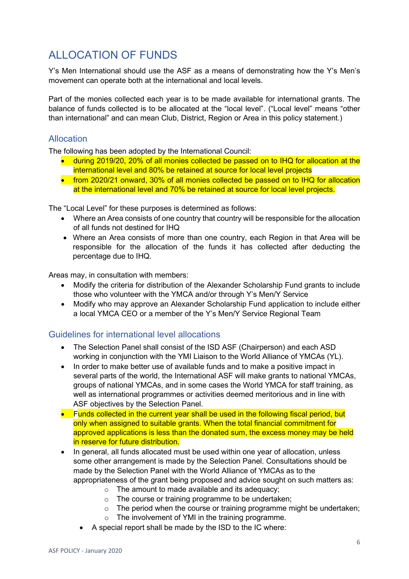## <span id="page-5-0"></span>ALLOCATION OF FUNDS

Y's Men International should use the ASF as a means of demonstrating how the Y's Men's movement can operate both at the international and local levels.

Part of the monies collected each year is to be made available for international grants. The balance of funds collected is to be allocated at the "local level". ("Local level" means "other than international" and can mean Club, District, Region or Area in this policy statement.)

#### <span id="page-5-1"></span>Allocation

The following has been adopted by the International Council:

- during 2019/20, 20% of all monies collected be passed on to IHQ for allocation at the international level and 80% be retained at source for local level projects
- from 2020/21 onward, 30% of all monies collected be passed on to IHQ for allocation at the international level and 70% be retained at source for local level projects.

The "Local Level" for these purposes is determined as follows:

- Where an Area consists of one country that country will be responsible for the allocation of all funds not destined for IHQ
- Where an Area consists of more than one country, each Region in that Area will be responsible for the allocation of the funds it has collected after deducting the percentage due to IHQ.

Areas may, in consultation with members:

- Modify the criteria for distribution of the Alexander Scholarship Fund grants to include those who volunteer with the YMCA and/or through Y's Men/Y Service
- Modify who may approve an Alexander Scholarship Fund application to include either a local YMCA CEO or a member of the Y's Men/Y Service Regional Team

#### <span id="page-5-2"></span>Guidelines for international level allocations

- The Selection Panel shall consist of the ISD ASF (Chairperson) and each ASD working in conjunction with the YMI Liaison to the World Alliance of YMCAs (YL).
- In order to make better use of available funds and to make a positive impact in several parts of the world, the International ASF will make grants to national YMCAs, groups of national YMCAs, and in some cases the World YMCA for staff training, as well as international programmes or activities deemed meritorious and in line with ASF objectives by the Selection Panel.
- Funds collected in the current year shall be used in the following fiscal period, but only when assigned to suitable grants. When the total financial commitment for approved applications is less than the donated sum, the excess money may be held in reserve for future distribution.
- In general, all funds allocated must be used within one year of allocation, unless some other arrangement is made by the Selection Panel. Consultations should be made by the Selection Panel with the World Alliance of YMCAs as to the appropriateness of the grant being proposed and advice sought on such matters as:
	- $\circ$  The amount to made available and its adequacy:
	- o The course or training programme to be undertaken;
	- $\circ$  The period when the course or training programme might be undertaken;
	- o The involvement of YMI in the training programme.
	- A special report shall be made by the ISD to the IC where: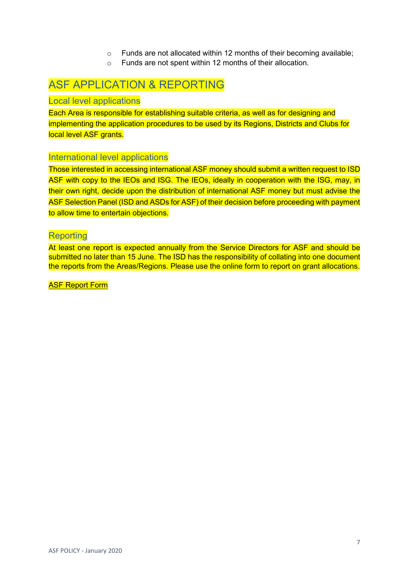- o Funds are not allocated within 12 months of their becoming available;
- o Funds are not spent within 12 months of their allocation.

## <span id="page-6-0"></span>ASF APPLICATION & REPORTING

#### <span id="page-6-1"></span>Local level applications

Each Area is responsible for establishing suitable criteria, as well as for designing and implementing the application procedures to be used by its Regions, Districts and Clubs for local level ASF grants.

#### <span id="page-6-2"></span>International level applications

Those interested in accessing international ASF money should submit a written request to ISD ASF with copy to the IEOs and ISG. The IEOs, ideally in cooperation with the ISG, may, in their own right, decide upon the distribution of international ASF money but must advise the ASF Selection Panel (ISD and ASDs for ASF) of their decision before proceeding with payment to allow time to entertain objections.

#### <span id="page-6-3"></span>**Reporting**

At least one report is expected annually from the Service Directors for ASF and should be submitted no later than 15 June. The ISD has the responsibility of collating into one document the reports from the Areas/Regions. Please use the online form to report on grant allocations.

**ASF Report Form**